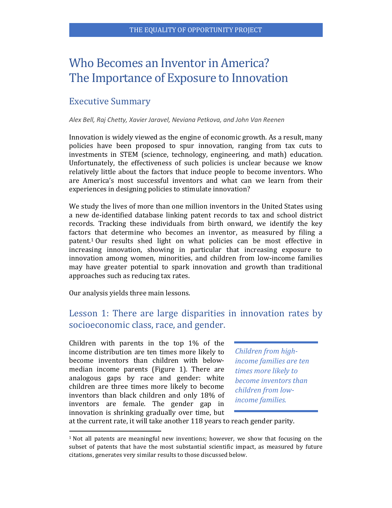# Who Becomes an Inventor in America? The Importance of Exposure to Innovation

# Executive Summary

#### *Alex Bell, Raj Chetty, Xavier Jaravel, Neviana Petkova, and John Van Reenen*

Innovation is widely viewed as the engine of economic growth. As a result, many policies have been proposed to spur innovation, ranging from tax cuts to investments in STEM (science, technology, engineering, and math) education. Unfortunately, the effectiveness of such policies is unclear because we know relatively little about the factors that induce people to become inventors. Who are America's most successful inventors and what can we learn from their experiences in designing policies to stimulate innovation?

We study the lives of more than one million inventors in the United States using a new de-identified database linking patent records to tax and school district records. Tracking these individuals from birth onward, we identify the key factors that determine who becomes an inventor, as measured by filing a patent. <sup>1</sup> Our results shed light on what policies can be most effective in increasing innovation, showing in particular that increasing exposure to innovation among women, minorities, and children from low-income families may have greater potential to spark innovation and growth than traditional approaches such as reducing tax rates.

Our analysis yields three main lessons.

 $\overline{a}$ 

#### Lesson 1: There are large disparities in innovation rates by socioeconomic class, race, and gender.

Children with parents in the top 1% of the income distribution are ten times more likely to become inventors than children with belowmedian income parents (Figure 1). There are analogous gaps by race and gender: white children are three times more likely to become inventors than black children and only 18% of inventors are female. The gender gap in innovation is shrinking gradually over time, but

*Children from highincome families are ten times more likely to become inventors than children from lowincome families.*

at the current rate, it will take another 118 years to reach gender parity.

<sup>1</sup> Not all patents are meaningful new inventions; however, we show that focusing on the subset of patents that have the most substantial scientific impact, as measured by future citations, generates very similar results to those discussed below.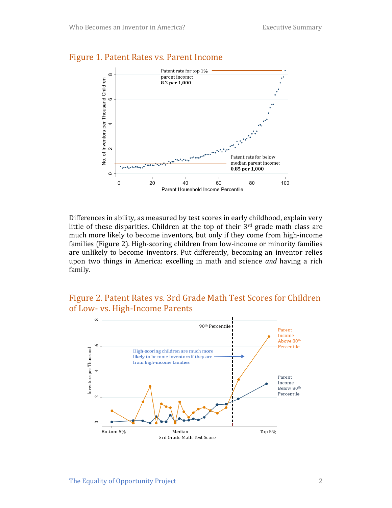

#### Figure 1. Patent Rates vs. Parent Income

Differences in ability, as measured by test scores in early childhood, explain very little of these disparities. Children at the top of their 3rd grade math class are much more likely to become inventors, but only if they come from high-income families (Figure 2). High-scoring children from low-income or minority families are unlikely to become inventors. Put differently, becoming an inventor relies upon two things in America: excelling in math and science *and* having a rich family.

#### Figure 2. Patent Rates vs. 3rd Grade Math Test Scores for Children of Low- vs. High-Income Parents

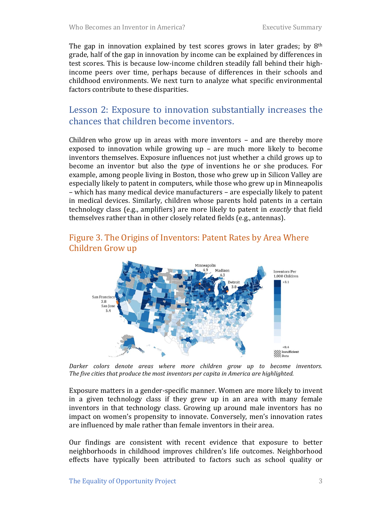The gap in innovation explained by test scores grows in later grades; by  $8<sup>th</sup>$ grade, half of the gap in innovation by income can be explained by differences in test scores. This is because low-income children steadily fall behind their highincome peers over time, perhaps because of differences in their schools and childhood environments. We next turn to analyze what specific environmental factors contribute to these disparities.

# Lesson 2: Exposure to innovation substantially increases the chances that children become inventors.

Children who grow up in areas with more inventors – and are thereby more exposed to innovation while growing up – are much more likely to become inventors themselves. Exposure influences not just whether a child grows up to become an inventor but also the *type* of inventions he or she produces. For example, among people living in Boston, those who grew up in Silicon Valley are especially likely to patent in computers, while those who grew up in Minneapolis – which has many medical device manufacturers – are especially likely to patent in medical devices. Similarly, children whose parents hold patents in a certain technology class (e.g., amplifiers) are more likely to patent in *exactly* that field themselves rather than in other closely related fields (e.g., antennas).

#### Figure 3. The Origins of Inventors: Patent Rates by Area Where Children Grow up



*Darker colors denote areas where more children grow up to become inventors. The five cities that produce the most inventors per capita in America are highlighted.*

Exposure matters in a gender-specific manner. Women are more likely to invent in a given technology class if they grew up in an area with many female inventors in that technology class. Growing up around male inventors has no impact on women's propensity to innovate. Conversely, men's innovation rates are influenced by male rather than female inventors in their area.

Our findings are consistent with recent evidence that exposure to better neighborhoods in childhood improves children's life outcomes. Neighborhood effects have typically been attributed to factors such as school quality or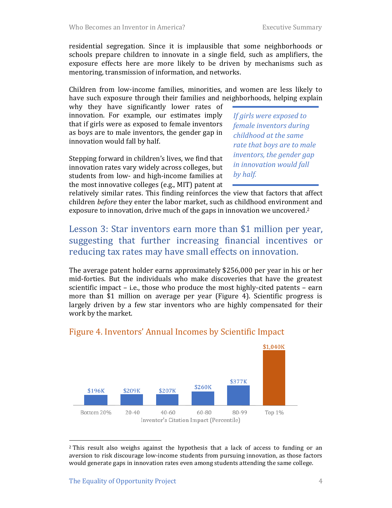residential segregation. Since it is implausible that some neighborhoods or schools prepare children to innovate in a single field, such as amplifiers, the exposure effects here are more likely to be driven by mechanisms such as mentoring, transmission of information, and networks.

Children from low-income families, minorities, and women are less likely to have such exposure through their families and neighborhoods, helping explain

why they have significantly lower rates of innovation. For example, our estimates imply that if girls were as exposed to female inventors as boys are to male inventors, the gender gap in innovation would fall by half.

Stepping forward in children's lives, we find that innovation rates vary widely across colleges, but students from low- and high-income families at the most innovative colleges (e.g., MIT) patent at *If girls were exposed to female inventors during childhood at the same rate that boys are to male inventors, the gender gap in innovation would fall by half.*

relatively similar rates. This finding reinforces the view that factors that affect children *before* they enter the labor market, such as childhood environment and exposure to innovation, drive much of the gaps in innovation we uncovered. 2

# Lesson 3: Star inventors earn more than \$1 million per year, suggesting that further increasing financial incentives or reducing tax rates may have small effects on innovation.

The average patent holder earns approximately \$256,000 per year in his or her mid-forties. But the individuals who make discoveries that have the greatest scientific impact – i.e., those who produce the most highly-cited patents – earn more than \$1 million on average per year (Figure 4). Scientific progress is largely driven by a few star inventors who are highly compensated for their work by the market.



#### Figure 4. Inventors' Annual Incomes by Scientific Impact

 $\overline{\phantom{a}}$ 

<sup>2</sup> This result also weighs against the hypothesis that a lack of access to funding or an aversion to risk discourage low-income students from pursuing innovation, as those factors would generate gaps in innovation rates even among students attending the same college.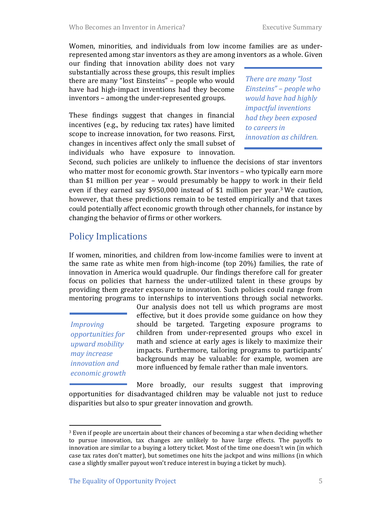Women, minorities, and individuals from low income families are as underrepresented among star inventors as they are among inventors as a whole. Given

our finding that innovation ability does not vary substantially across these groups, this result implies there are many "lost Einsteins" – people who would have had high-impact inventions had they become inventors – among the under-represented groups.

These findings suggest that changes in financial incentives (e.g., by reducing tax rates) have limited scope to increase innovation, for two reasons. First, changes in incentives affect only the small subset of individuals who have exposure to innovation. *There are many "lost Einsteins" – people who would have had highly impactful inventions had they been exposed to careers in innovation as children.*

Second, such policies are unlikely to influence the decisions of star inventors who matter most for economic growth. Star inventors - who typically earn more than \$1 million per year – would presumably be happy to work in their field even if they earned say \$950,000 instead of \$1 million per year.<sup>3</sup> We caution, however, that these predictions remain to be tested empirically and that taxes could potentially affect economic growth through other channels, for instance by changing the behavior of firms or other workers.

# Policy Implications

If women, minorities, and children from low-income families were to invent at the same rate as white men from high-income (top 20%) families, the rate of innovation in America would quadruple. Our findings therefore call for greater focus on policies that harness the under-utilized talent in these groups by providing them greater exposure to innovation. Such policies could range from mentoring programs to internships to interventions through social networks.

*Improving opportunities for upward mobility may increase innovation and economic growth*

l

Our analysis does not tell us which programs are most effective, but it does provide some guidance on how they should be targeted. Targeting exposure programs to children from under-represented groups who excel in math and science at early ages is likely to maximize their impacts. Furthermore, tailoring programs to participants' backgrounds may be valuable: for example, women are more influenced by female rather than male inventors.

More broadly, our results suggest that improving opportunities for disadvantaged children may be valuable not just to reduce disparities but also to spur greater innovation and growth.

<sup>3</sup> Even if people are uncertain about their chances of becoming a star when deciding whether to pursue innovation, tax changes are unlikely to have large effects. The payoffs to innovation are similar to a buying a lottery ticket. Most of the time one doesn't win (in which case tax rates don't matter), but sometimes one hits the jackpot and wins millions (in which case a slightly smaller payout won't reduce interest in buying a ticket by much).